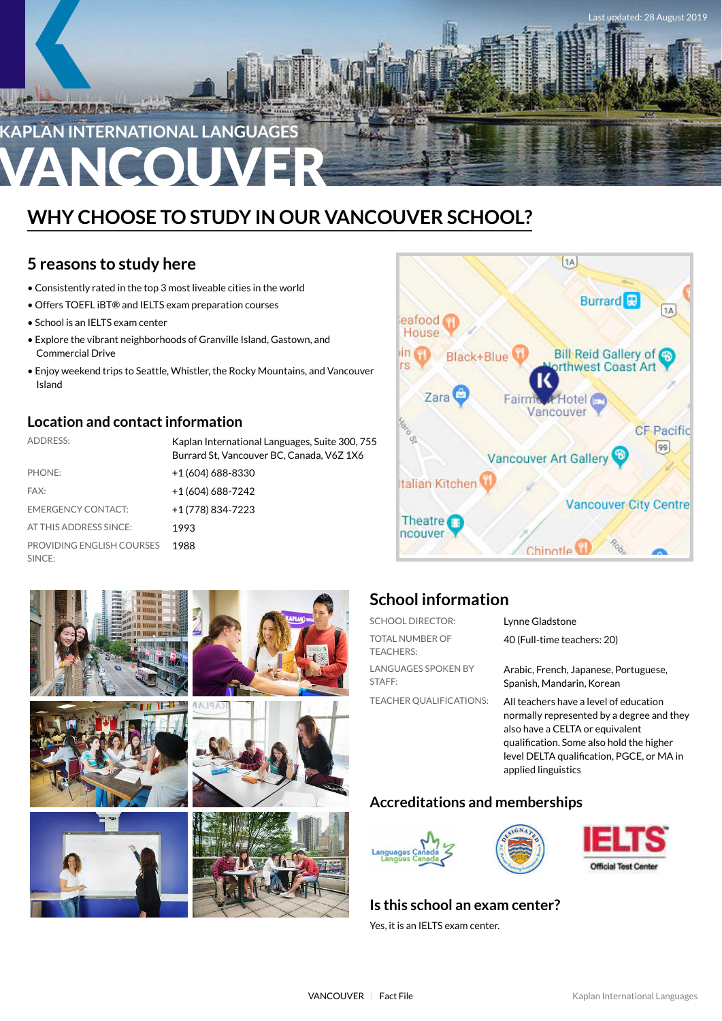

# **WHY CHOOSE TO STUDY IN OUR VANCOUVER SCHOOL?**

# **5 reasons to study here**

- Consistently rated in the top 3 most liveable cities in the world
- Offers TOEFL iBT® and IELTS exam preparation courses
- School is an IELTS exam center
- Explore the vibrant neighborhoods of Granville Island, Gastown, and Commercial Drive
- Enjoy weekend trips to Seattle, Whistler, the Rocky Mountains, and Vancouver Island

## **Location and contact information**

| <b>ADDRESS:</b>                     | Kaplan International Languages, Suite 300, 755<br>Burrard St, Vancouver BC, Canada, V6Z 1X6 |
|-------------------------------------|---------------------------------------------------------------------------------------------|
| PHONE:                              | +1 (604) 688-8330                                                                           |
| FAX:                                | +1 (604) 688-7242                                                                           |
| <b>EMERGENCY CONTACT:</b>           | +1 (778) 834-7223                                                                           |
| AT THIS ADDRESS SINCE:              | 1993                                                                                        |
| PROVIDING ENGLISH COURSES<br>SINCE: | 1988                                                                                        |









# **School information**

| <b>SCHOOL DIRECTOR:</b>              | Lynne Gladstone                                                                                                                                                                                                                        |
|--------------------------------------|----------------------------------------------------------------------------------------------------------------------------------------------------------------------------------------------------------------------------------------|
| TOTAL NUMBER OF<br><b>TEACHERS:</b>  | 40 (Full-time teachers: 20)                                                                                                                                                                                                            |
| <b>LANGUAGES SPOKEN BY</b><br>STAFF: | Arabic, French, Japanese, Portuguese,<br>Spanish, Mandarin, Korean                                                                                                                                                                     |
| <b>TEACHER QUALIFICATIONS:</b>       | All teachers have a level of education<br>normally represented by a degree and they<br>also have a CELTA or equivalent<br>qualification. Some also hold the higher<br>level DELTA qualification, PGCE, or MA in<br>applied linguistics |

## **Accreditations and memberships**







## **Is this school an exam center?**

Yes, it is an IELTS exam center.



S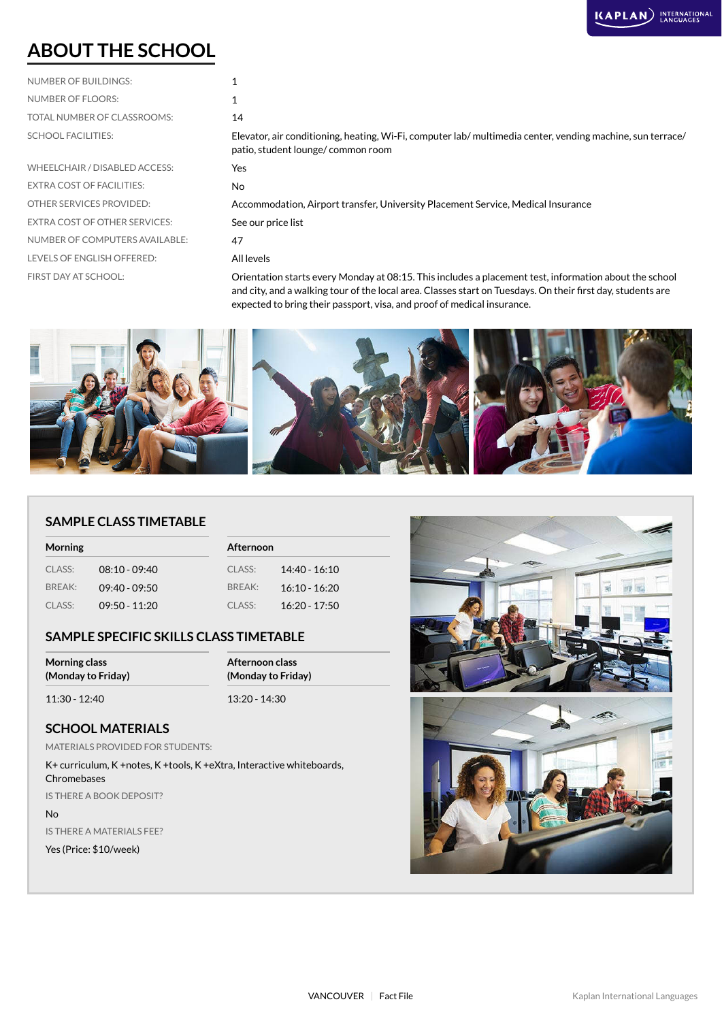# **ABOUT THE SCHOOL**

| NUMBER OF BUILDINGS:        |     |
|-----------------------------|-----|
| NUMBER OF FLOORS:           |     |
| TOTAL NUMBER OF CLASSROOMS: | 14  |
| <b>SCHOOL FACILITIES:</b>   | Fle |

| <b>NUMBER OF FLOORS:</b>             |                                                                                                                                                 |
|--------------------------------------|-------------------------------------------------------------------------------------------------------------------------------------------------|
| TOTAL NUMBER OF CLASSROOMS:          | 14                                                                                                                                              |
| <b>SCHOOL FACILITIES:</b>            | Elevator, air conditioning, heating, Wi-Fi, computer lab/ multimedia center, vending machine, sun terrace/<br>patio, student lounge/common room |
| WHEELCHAIR / DISABLED ACCESS:        | <b>Yes</b>                                                                                                                                      |
| <b>EXTRA COST OF FACILITIES:</b>     | No.                                                                                                                                             |
| OTHER SERVICES PROVIDED:             | Accommodation, Airport transfer, University Placement Service, Medical Insurance                                                                |
| <b>EXTRA COST OF OTHER SERVICES:</b> | See our price list                                                                                                                              |
| NUMBER OF COMPUTERS AVAILABLE:       | 47                                                                                                                                              |
| <b>LEVELS OF ENGLISH OFFERED:</b>    | All levels                                                                                                                                      |
| FIRST DAY AT SCHOOL:                 | Orientation starts every Monday at 08:15. This includes a placement test, information about the school                                          |
|                                      |                                                                                                                                                 |

and city, and a walking tour of the local area. Classes start on Tuesdays. On their first day, students are expected to bring their passport, visa, and proof of medical insurance.



#### **SAMPLE CLASS TIMETABLE**

| <b>Morning</b> |                 |        | Afternoon       |  |  |
|----------------|-----------------|--------|-----------------|--|--|
| CLASS:         | $08:10 - 09:40$ | CLASS: | $14:40 - 16:10$ |  |  |
| BREAK:         | $09:40 - 09:50$ | RRFAK: | $16:10 - 16:20$ |  |  |
| CLASS:         | $09:50 - 11:20$ | CLASS: | $16:20 - 17:50$ |  |  |

#### **SAMPLE SPECIFIC SKILLS CLASS TIMETABLE**

| <b>Morning class</b> | Afternoon class    |  |
|----------------------|--------------------|--|
| (Monday to Friday)   | (Monday to Friday) |  |
| 11:30 - 12:40        | $13:20 - 14:30$    |  |

#### **SCHOOL MATERIALS**

MATERIALS PROVIDED FOR STUDENTS:

K+ curriculum, K +notes, K +tools, K +eXtra, Interactive whiteboards, Chromebases IS THERE A BOOK DEPOSIT?

No

IS THERE A MATERIALS FEE?

Yes (Price: \$10/week)

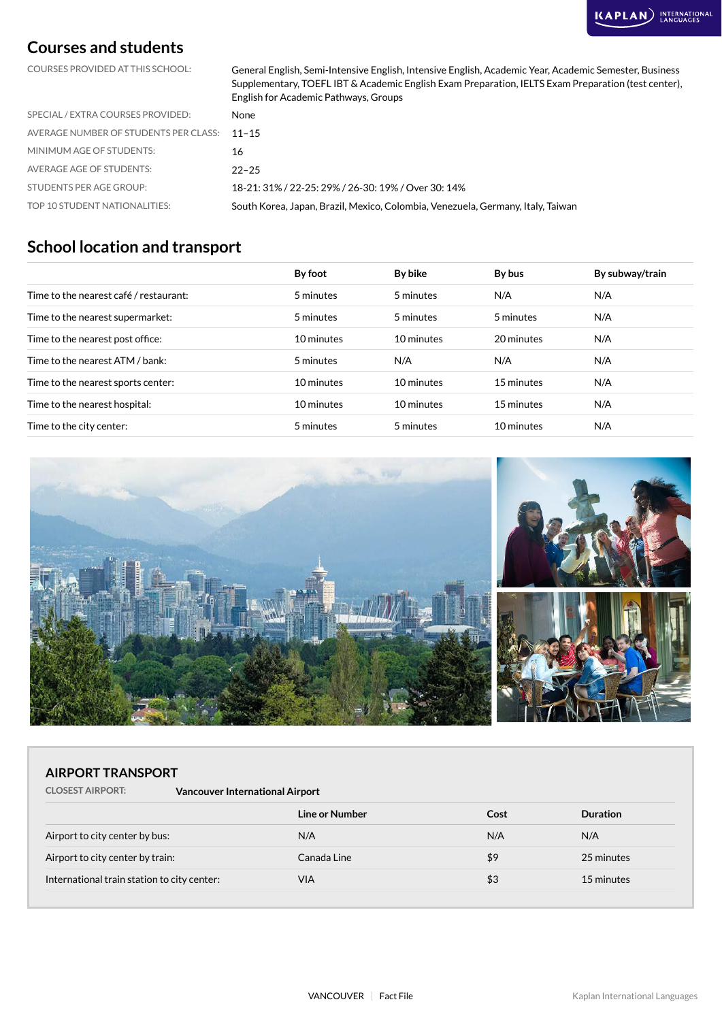# **Courses and students**

COURSES PROVIDED AT THIS SCHOOL: General English, Semi-Intensive English, Intensive English, Academic Year, Academic Semester, Business Supplementary, TOEFL IBT & Academic English Exam Preparation, IELTS Exam Preparation (test center), English for Academic Pathways, Groups

| SPECIAL / EXTRA COURSES PROVIDED:           | None                                                                            |
|---------------------------------------------|---------------------------------------------------------------------------------|
| AVERAGE NUMBER OF STUDENTS PER CLASS: 11-15 |                                                                                 |
| MINIMUM AGE OF STUDENTS:                    | 16                                                                              |
| AVERAGE AGE OF STUDENTS:                    | $22 - 25$                                                                       |
| <b>STUDENTS PER AGE GROUP:</b>              | 18-21: 31% / 22-25: 29% / 26-30: 19% / Over 30: 14%                             |
| TOP 10 STUDENT NATIONALITIES:               | South Korea, Japan, Brazil, Mexico, Colombia, Venezuela, Germany, Italy, Taiwan |

### **School location and transport**

|                                        | By foot    | By bike    | By bus     | By subway/train |
|----------------------------------------|------------|------------|------------|-----------------|
| Time to the nearest café / restaurant: | 5 minutes  | 5 minutes  | N/A        | N/A             |
| Time to the nearest supermarket:       | 5 minutes  | 5 minutes  | 5 minutes  | N/A             |
| Time to the nearest post office:       | 10 minutes | 10 minutes | 20 minutes | N/A             |
| Time to the nearest ATM / bank:        | 5 minutes  | N/A        | N/A        | N/A             |
| Time to the nearest sports center:     | 10 minutes | 10 minutes | 15 minutes | N/A             |
| Time to the nearest hospital:          | 10 minutes | 10 minutes | 15 minutes | N/A             |
| Time to the city center:               | 5 minutes  | 5 minutes  | 10 minutes | N/A             |



#### **AIRPORT TRANSPORT**

| <b>CLOSEST AIRPORT:</b> | <b>Vancouver International Airport</b> |
|-------------------------|----------------------------------------|
|-------------------------|----------------------------------------|

|                                             | Line or Number | Cost | <b>Duration</b> |
|---------------------------------------------|----------------|------|-----------------|
| Airport to city center by bus:              | N/A            | N/A  | N/A             |
| Airport to city center by train:            | Canada Line    | \$9  | 25 minutes      |
| International train station to city center: | VIA            | \$3  | 15 minutes      |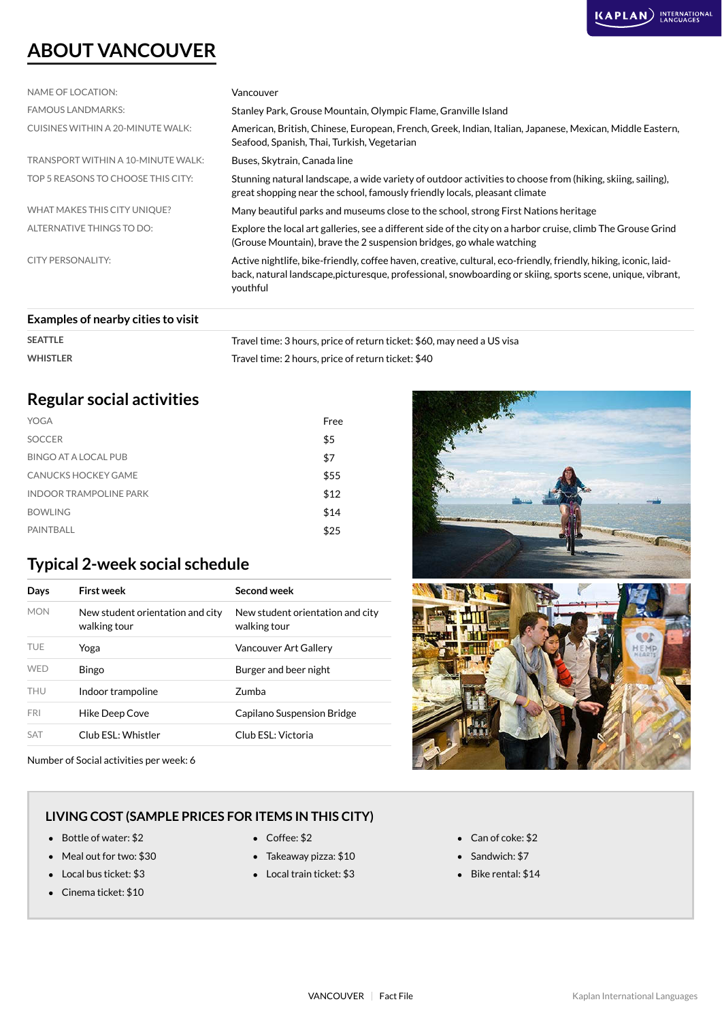# **ABOUT VANCOUVER**

| NAME OF LOCATION:                  | Vancouver                                                                                                                                                                                                                                  |
|------------------------------------|--------------------------------------------------------------------------------------------------------------------------------------------------------------------------------------------------------------------------------------------|
| <b>FAMOUS LANDMARKS:</b>           | Stanley Park, Grouse Mountain, Olympic Flame, Granville Island                                                                                                                                                                             |
| CUISINES WITHIN A 20-MINUTE WALK:  | American, British, Chinese, European, French, Greek, Indian, Italian, Japanese, Mexican, Middle Eastern,<br>Seafood, Spanish, Thai, Turkish, Vegetarian                                                                                    |
| TRANSPORT WITHIN A 10-MINUTE WALK: | Buses, Skytrain, Canada line                                                                                                                                                                                                               |
| TOP 5 REASONS TO CHOOSE THIS CITY: | Stunning natural landscape, a wide variety of outdoor activities to choose from (hiking, skiing, sailing),<br>great shopping near the school, famously friendly locals, pleasant climate                                                   |
| WHAT MAKES THIS CITY UNIQUE?       | Many beautiful parks and museums close to the school, strong First Nations heritage                                                                                                                                                        |
| ALTERNATIVE THINGS TO DO:          | Explore the local art galleries, see a different side of the city on a harbor cruise, climb The Grouse Grind<br>(Grouse Mountain), brave the 2 suspension bridges, go whale watching                                                       |
| <b>CITY PERSONALITY:</b>           | Active nightlife, bike-friendly, coffee haven, creative, cultural, eco-friendly, friendly, hiking, iconic, laid-<br>back, natural landscape, picturesque, professional, snowboarding or skiing, sports scene, unique, vibrant,<br>youthful |
| Examples of nearby cities to visit |                                                                                                                                                                                                                                            |

| <b>EXAMPLES OF HEALDY CILIES TO VISIT</b> |                                                                        |
|-------------------------------------------|------------------------------------------------------------------------|
| <b>SEATTLE</b>                            | Travel time: 3 hours, price of return ticket: \$60, may need a US visa |

#### WHISTLER **WHISTLER** Travel time: 2 hours, price of return ticket: \$40

# **Regular social activities**

| YOGA                          | Free |
|-------------------------------|------|
| <b>SOCCER</b>                 | \$5  |
| BINGO AT A LOCAL PUB          | \$7  |
| CANUCKS HOCKEY GAME           | \$55 |
| <b>INDOOR TRAMPOLINE PARK</b> | \$12 |
| <b>BOWLING</b>                | \$14 |
| PAINTBALL                     | \$25 |

# **Typical 2-week social schedule**

| Days       | First week                                       | Second week                                      |
|------------|--------------------------------------------------|--------------------------------------------------|
| <b>MON</b> | New student orientation and city<br>walking tour | New student orientation and city<br>walking tour |
| <b>TUE</b> | Yoga                                             | Vancouver Art Gallery                            |
| <b>WFD</b> | <b>Bingo</b>                                     | Burger and beer night                            |
| <b>THU</b> | Indoor trampoline                                | Zumba                                            |
| <b>FRI</b> | Hike Deep Cove                                   | Capilano Suspension Bridge                       |
| <b>SAT</b> | Club ESL: Whistler                               | Club ESL: Victoria                               |

Number of Social activities per week: 6

#### **LIVING COST (SAMPLE PRICES FOR ITEMS IN THIS CITY)**

- Bottle of water: \$2 Coffee: \$2 Can of coke: \$2
- Meal out for two: \$30 **Takeaway pizza: \$10** Sandwich: \$7
- 
- Cinema ticket: \$10
- 
- 
- Local bus ticket: \$3 Local train ticket: \$3 Bike rental: \$14



- 
- 
-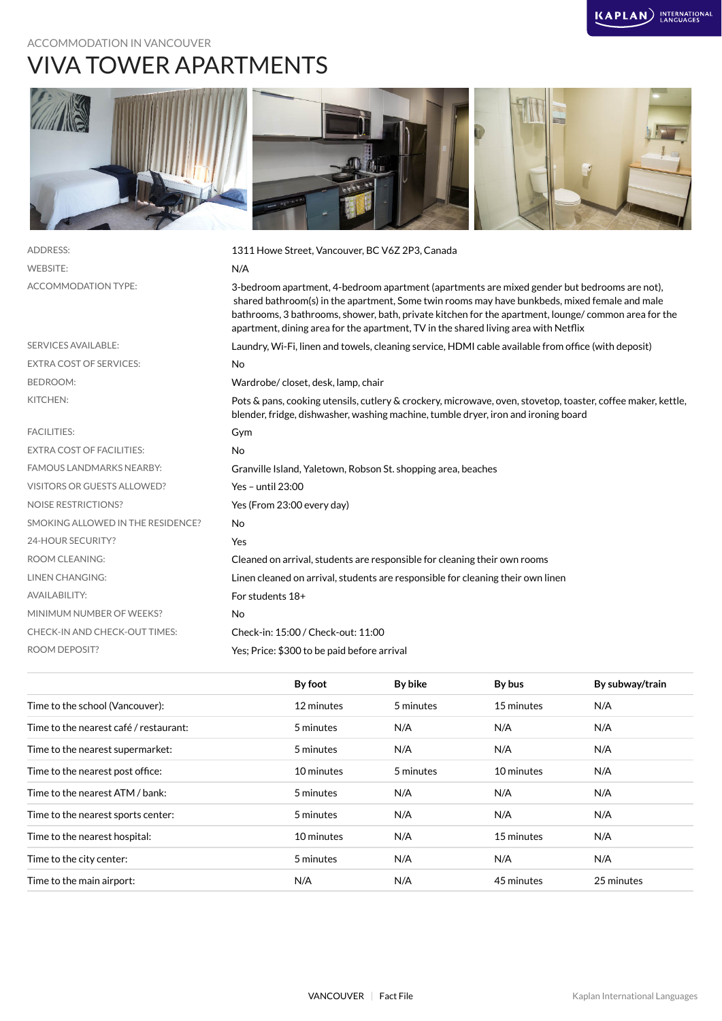# ACCOMMODATION IN VANCOUVER VIVA TOWER APARTMENTS



| <b>ADDRESS:</b>                    | 1311 Howe Street, Vancouver, BC V6Z 2P3, Canada                                                                                                                                                                                                                                                                                                                                             |
|------------------------------------|---------------------------------------------------------------------------------------------------------------------------------------------------------------------------------------------------------------------------------------------------------------------------------------------------------------------------------------------------------------------------------------------|
| <b>WEBSITE:</b>                    | N/A                                                                                                                                                                                                                                                                                                                                                                                         |
| <b>ACCOMMODATION TYPE:</b>         | 3-bedroom apartment, 4-bedroom apartment (apartments are mixed gender but bedrooms are not),<br>shared bathroom(s) in the apartment, Some twin rooms may have bunkbeds, mixed female and male<br>bathrooms, 3 bathrooms, shower, bath, private kitchen for the apartment, lounge/common area for the<br>apartment, dining area for the apartment, TV in the shared living area with Netflix |
| <b>SERVICES AVAILABLE:</b>         | Laundry, Wi-Fi, linen and towels, cleaning service, HDMI cable available from office (with deposit)                                                                                                                                                                                                                                                                                         |
| <b>EXTRA COST OF SERVICES:</b>     | No                                                                                                                                                                                                                                                                                                                                                                                          |
| <b>BEDROOM:</b>                    | Wardrobe/closet, desk, lamp, chair                                                                                                                                                                                                                                                                                                                                                          |
| KITCHEN:                           | Pots & pans, cooking utensils, cutlery & crockery, microwave, oven, stovetop, toaster, coffee maker, kettle,<br>blender, fridge, dishwasher, washing machine, tumble dryer, iron and ironing board                                                                                                                                                                                          |
| <b>FACILITIES:</b>                 | Gym                                                                                                                                                                                                                                                                                                                                                                                         |
| <b>EXTRA COST OF FACILITIES:</b>   | <b>No</b>                                                                                                                                                                                                                                                                                                                                                                                   |
| <b>FAMOUS LANDMARKS NEARBY:</b>    | Granville Island, Yaletown, Robson St. shopping area, beaches                                                                                                                                                                                                                                                                                                                               |
| <b>VISITORS OR GUESTS ALLOWED?</b> | Yes - until $23:00$                                                                                                                                                                                                                                                                                                                                                                         |
| <b>NOISE RESTRICTIONS?</b>         | Yes (From 23:00 every day)                                                                                                                                                                                                                                                                                                                                                                  |
| SMOKING ALLOWED IN THE RESIDENCE?  | No                                                                                                                                                                                                                                                                                                                                                                                          |
| 24-HOUR SECURITY?                  | Yes                                                                                                                                                                                                                                                                                                                                                                                         |
| <b>ROOM CLEANING:</b>              | Cleaned on arrival, students are responsible for cleaning their own rooms                                                                                                                                                                                                                                                                                                                   |
| <b>LINEN CHANGING:</b>             | Linen cleaned on arrival, students are responsible for cleaning their own linen                                                                                                                                                                                                                                                                                                             |
| <b>AVAILABILITY:</b>               | For students 18+                                                                                                                                                                                                                                                                                                                                                                            |
| MINIMUM NUMBER OF WEEKS?           | No                                                                                                                                                                                                                                                                                                                                                                                          |
| CHECK-IN AND CHECK-OUT TIMES:      | Check-in: 15:00 / Check-out: 11:00                                                                                                                                                                                                                                                                                                                                                          |
| <b>ROOM DEPOSIT?</b>               | Yes; Price: \$300 to be paid before arrival                                                                                                                                                                                                                                                                                                                                                 |
|                                    |                                                                                                                                                                                                                                                                                                                                                                                             |

|                                        | By foot    | By bike   | By bus     | By subway/train |
|----------------------------------------|------------|-----------|------------|-----------------|
| Time to the school (Vancouver):        | 12 minutes | 5 minutes | 15 minutes | N/A             |
| Time to the nearest café / restaurant: | 5 minutes  | N/A       | N/A        | N/A             |
| Time to the nearest supermarket:       | 5 minutes  | N/A       | N/A        | N/A             |
| Time to the nearest post office:       | 10 minutes | 5 minutes | 10 minutes | N/A             |
| Time to the nearest ATM / bank:        | 5 minutes  | N/A       | N/A        | N/A             |
| Time to the nearest sports center:     | 5 minutes  | N/A       | N/A        | N/A             |
| Time to the nearest hospital:          | 10 minutes | N/A       | 15 minutes | N/A             |
| Time to the city center:               | 5 minutes  | N/A       | N/A        | N/A             |
| Time to the main airport:              | N/A        | N/A       | 45 minutes | 25 minutes      |
|                                        |            |           |            |                 |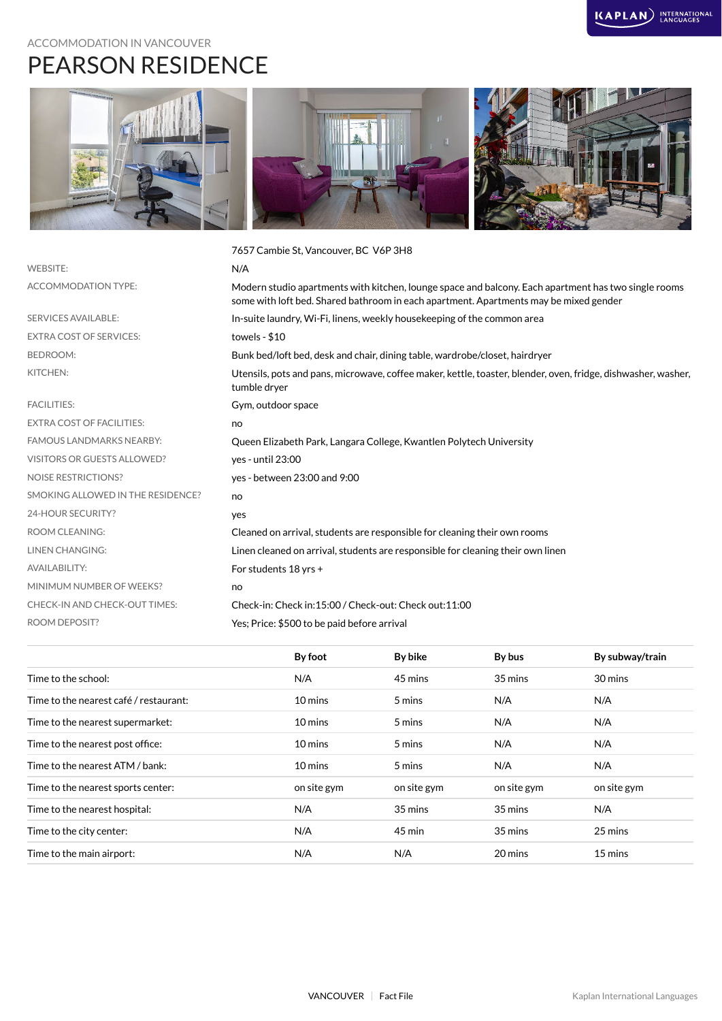# ACCOMMODATION IN VANCOUVER PEARSON RESIDENCE



|                                   | 7657 Cambie St, Vancouver, BC V6P 3H8                                                                                                                                                         |
|-----------------------------------|-----------------------------------------------------------------------------------------------------------------------------------------------------------------------------------------------|
| <b>WEBSITE:</b>                   | N/A                                                                                                                                                                                           |
| ACCOMMODATION TYPE:               | Modern studio apartments with kitchen, lounge space and balcony. Each apartment has two single rooms<br>some with loft bed. Shared bathroom in each apartment. Apartments may be mixed gender |
| <b>SERVICES AVAILABLE:</b>        | In-suite laundry, Wi-Fi, linens, weekly housekeeping of the common area                                                                                                                       |
| <b>EXTRA COST OF SERVICES:</b>    | towels - $$10$                                                                                                                                                                                |
| <b>BEDROOM:</b>                   | Bunk bed/loft bed, desk and chair, dining table, wardrobe/closet, hairdryer                                                                                                                   |
| KITCHEN:                          | Utensils, pots and pans, microwave, coffee maker, kettle, toaster, blender, oven, fridge, dishwasher, washer,<br>tumble dryer                                                                 |
| <b>FACILITIES:</b>                | Gym, outdoor space                                                                                                                                                                            |
| <b>EXTRA COST OF FACILITIES:</b>  | no                                                                                                                                                                                            |
| <b>FAMOUS LANDMARKS NEARBY:</b>   | Queen Elizabeth Park, Langara College, Kwantlen Polytech University                                                                                                                           |
| VISITORS OR GUESTS ALLOWED?       | ves - until 23:00                                                                                                                                                                             |
| <b>NOISE RESTRICTIONS?</b>        | yes - between 23:00 and 9:00                                                                                                                                                                  |
| SMOKING ALLOWED IN THE RESIDENCE? | no                                                                                                                                                                                            |
| 24-HOUR SECURITY?                 | yes                                                                                                                                                                                           |
| <b>ROOM CLEANING:</b>             | Cleaned on arrival, students are responsible for cleaning their own rooms                                                                                                                     |
| <b>LINEN CHANGING:</b>            | Linen cleaned on arrival, students are responsible for cleaning their own linen                                                                                                               |
| <b>AVAILABILITY:</b>              | For students 18 yrs +                                                                                                                                                                         |
| MINIMUM NUMBER OF WEEKS?          | no                                                                                                                                                                                            |
| CHECK-IN AND CHECK-OUT TIMES:     | Check-in: Check in:15:00 / Check-out: Check out:11:00                                                                                                                                         |
| <b>ROOM DEPOSIT?</b>              | Yes; Price: \$500 to be paid before arrival                                                                                                                                                   |
|                                   |                                                                                                                                                                                               |

|                                        | By foot     | By bike     | By bus      | By subway/train |
|----------------------------------------|-------------|-------------|-------------|-----------------|
| Time to the school:                    | N/A         | 45 mins     | 35 mins     | 30 mins         |
| Time to the nearest café / restaurant: | 10 mins     | 5 mins      | N/A         | N/A             |
| Time to the nearest supermarket:       | 10 mins     | 5 mins      | N/A         | N/A             |
| Time to the nearest post office:       | 10 mins     | 5 mins      | N/A         | N/A             |
| Time to the nearest ATM / bank:        | 10 mins     | 5 mins      | N/A         | N/A             |
| Time to the nearest sports center:     | on site gym | on site gym | on site gym | on site gym     |
| Time to the nearest hospital:          | N/A         | 35 mins     | 35 mins     | N/A             |
| Time to the city center:               | N/A         | 45 min      | 35 mins     | 25 mins         |
| Time to the main airport:              | N/A         | N/A         | 20 mins     | 15 mins         |